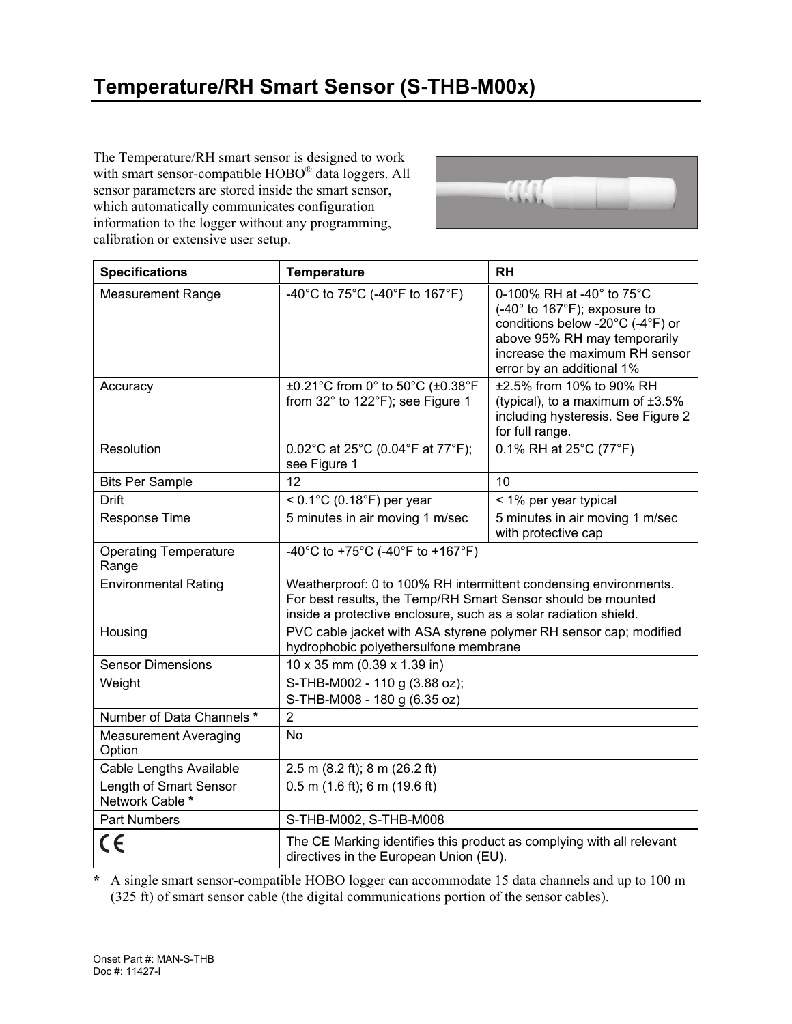# **Temperature/RH Smart Sensor (S-THB-M00x)**

The Temperature/RH smart sensor is designed to work with smart sensor-compatible HOBO<sup>®</sup> data loggers. All sensor parameters are stored inside the smart sensor, which automatically communicates configuration information to the logger without any programming, calibration or extensive user setup.



| <b>Specifications</b>                     | <b>Temperature</b>                                                                                                                                                                                   | <b>RH</b>                                                                                                                                                                                       |
|-------------------------------------------|------------------------------------------------------------------------------------------------------------------------------------------------------------------------------------------------------|-------------------------------------------------------------------------------------------------------------------------------------------------------------------------------------------------|
| <b>Measurement Range</b>                  | -40°C to 75°C (-40°F to 167°F)                                                                                                                                                                       | 0-100% RH at -40° to 75°C<br>$(-40° to 167°F)$ ; exposure to<br>conditions below -20°C (-4°F) or<br>above 95% RH may temporarily<br>increase the maximum RH sensor<br>error by an additional 1% |
| Accuracy                                  | ±0.21°C from 0° to 50°C (±0.38°F<br>from 32° to 122°F); see Figure 1                                                                                                                                 | ±2.5% from 10% to 90% RH<br>(typical), to a maximum of $\pm 3.5\%$<br>including hysteresis. See Figure 2<br>for full range.                                                                     |
| <b>Resolution</b>                         | 0.02°C at 25°C (0.04°F at 77°F);<br>see Figure 1                                                                                                                                                     | 0.1% RH at 25°C (77°F)                                                                                                                                                                          |
| <b>Bits Per Sample</b>                    | 12                                                                                                                                                                                                   | 10                                                                                                                                                                                              |
| <b>Drift</b>                              | $< 0.1^{\circ}$ C (0.18 $^{\circ}$ F) per year                                                                                                                                                       | < 1% per year typical                                                                                                                                                                           |
| Response Time                             | 5 minutes in air moving 1 m/sec                                                                                                                                                                      | 5 minutes in air moving 1 m/sec<br>with protective cap                                                                                                                                          |
| <b>Operating Temperature</b><br>Range     | -40°C to +75°C (-40°F to +167°F)                                                                                                                                                                     |                                                                                                                                                                                                 |
| <b>Environmental Rating</b>               | Weatherproof: 0 to 100% RH intermittent condensing environments.<br>For best results, the Temp/RH Smart Sensor should be mounted<br>inside a protective enclosure, such as a solar radiation shield. |                                                                                                                                                                                                 |
| Housing                                   | PVC cable jacket with ASA styrene polymer RH sensor cap; modified<br>hydrophobic polyethersulfone membrane                                                                                           |                                                                                                                                                                                                 |
| <b>Sensor Dimensions</b>                  | 10 x 35 mm (0.39 x 1.39 in)                                                                                                                                                                          |                                                                                                                                                                                                 |
| Weight                                    | S-THB-M002 - 110 g (3.88 oz);<br>S-THB-M008 - 180 g (6.35 oz)                                                                                                                                        |                                                                                                                                                                                                 |
| Number of Data Channels *                 | $\overline{2}$                                                                                                                                                                                       |                                                                                                                                                                                                 |
| <b>Measurement Averaging</b><br>Option    | <b>No</b>                                                                                                                                                                                            |                                                                                                                                                                                                 |
| Cable Lengths Available                   | 2.5 m (8.2 ft); 8 m (26.2 ft)                                                                                                                                                                        |                                                                                                                                                                                                 |
| Length of Smart Sensor<br>Network Cable * | $0.5$ m $(1.6$ ft); 6 m $(19.6)$ ft)                                                                                                                                                                 |                                                                                                                                                                                                 |
| <b>Part Numbers</b>                       | S-THB-M002, S-THB-M008                                                                                                                                                                               |                                                                                                                                                                                                 |
| CE                                        | The CE Marking identifies this product as complying with all relevant<br>directives in the European Union (EU).                                                                                      |                                                                                                                                                                                                 |

**\*** A single smart sensor-compatible HOBO logger can accommodate 15 data channels and up to 100 m (325 ft) of smart sensor cable (the digital communications portion of the sensor cables).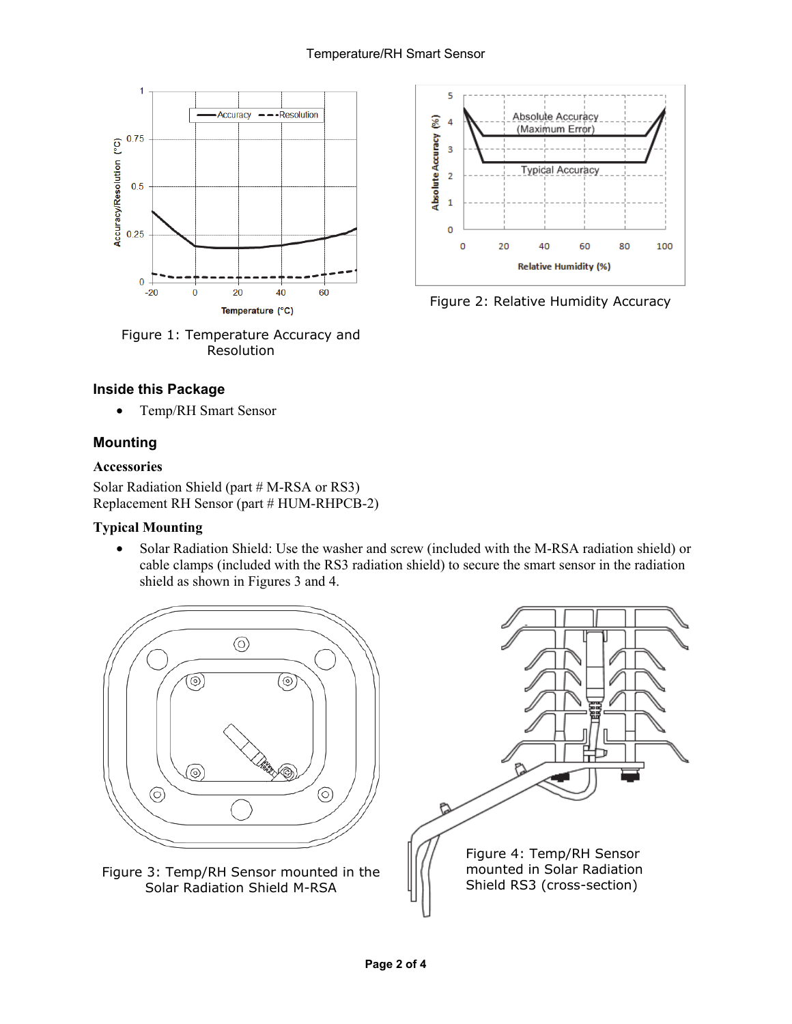

Figure 1: Temperature Accuracy and Resolution

## **Inside this Package**

• Temp/RH Smart Sensor

# **Mounting**

#### **Accessories**

Solar Radiation Shield (part # M-RSA or RS3) Replacement RH Sensor (part # HUM-RHPCB-2)

### **Typical Mounting**

• Solar Radiation Shield: Use the washer and screw (included with the M-RSA radiation shield) or cable clamps (included with the RS3 radiation shield) to secure the smart sensor in the radiation shield as shown in Figures 3 and 4.





Figure 2: Relative Humidity Accuracy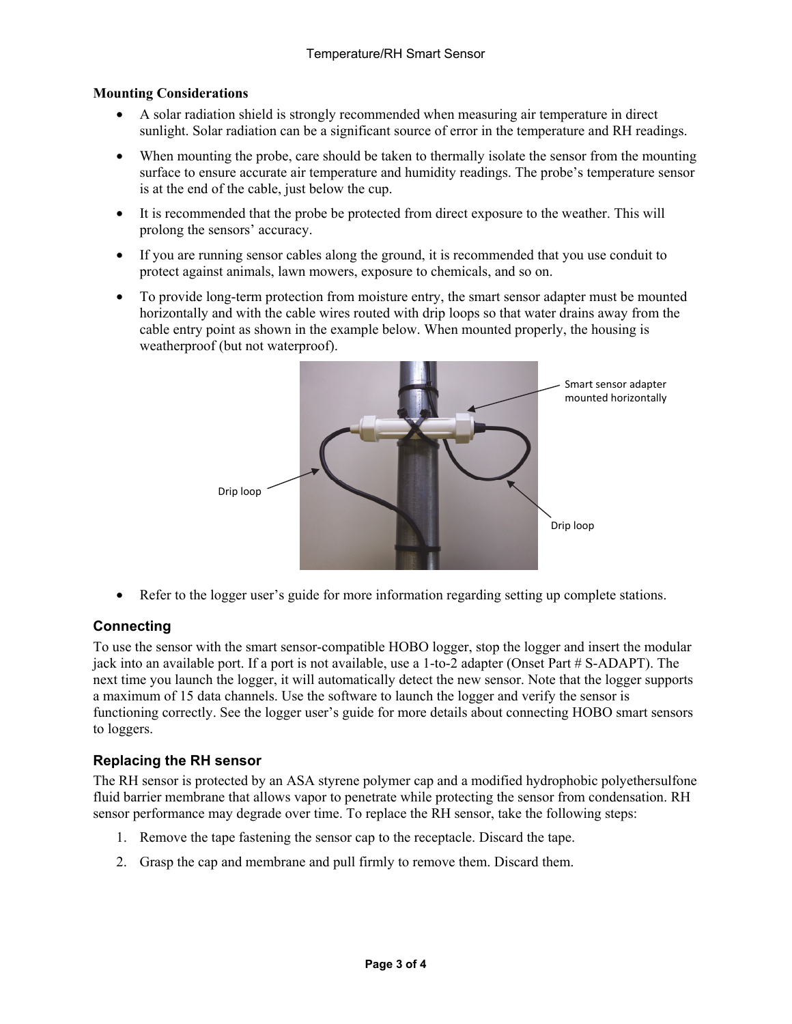#### **Mounting Considerations**

- A solar radiation shield is strongly recommended when measuring air temperature in direct sunlight. Solar radiation can be a significant source of error in the temperature and RH readings.
- When mounting the probe, care should be taken to thermally isolate the sensor from the mounting surface to ensure accurate air temperature and humidity readings. The probe's temperature sensor is at the end of the cable, just below the cup.
- It is recommended that the probe be protected from direct exposure to the weather. This will prolong the sensors' accuracy.
- If you are running sensor cables along the ground, it is recommended that you use conduit to protect against animals, lawn mowers, exposure to chemicals, and so on.
- To provide long-term protection from moisture entry, the smart sensor adapter must be mounted horizontally and with the cable wires routed with drip loops so that water drains away from the cable entry point as shown in the example below. When mounted properly, the housing is weatherproof (but not waterproof).



• Refer to the logger user's guide for more information regarding setting up complete stations.

# **Connecting**

To use the sensor with the smart sensor-compatible HOBO logger, stop the logger and insert the modular jack into an available port. If a port is not available, use a 1-to-2 adapter (Onset Part # S-ADAPT). The next time you launch the logger, it will automatically detect the new sensor. Note that the logger supports a maximum of 15 data channels. Use the software to launch the logger and verify the sensor is functioning correctly. See the logger user's guide for more details about connecting HOBO smart sensors to loggers.

# **Replacing the RH sensor**

The RH sensor is protected by an ASA styrene polymer cap and a modified hydrophobic polyethersulfone fluid barrier membrane that allows vapor to penetrate while protecting the sensor from condensation. RH sensor performance may degrade over time. To replace the RH sensor, take the following steps:

- 1. Remove the tape fastening the sensor cap to the receptacle. Discard the tape.
- 2. Grasp the cap and membrane and pull firmly to remove them. Discard them.